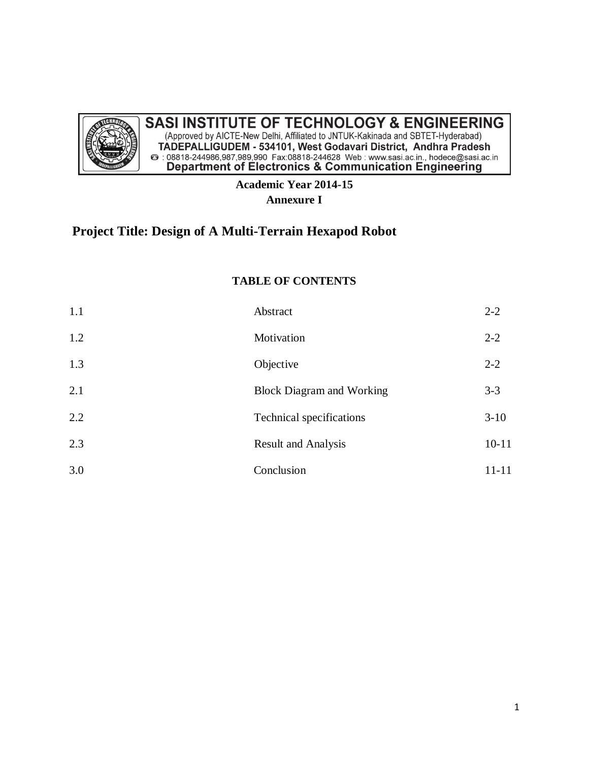

# **SASI INSTITUTE OF TECHNOLOGY & ENGINEERING**

(Approved by AICTE-New Delhi, Affiliated to JNTUK-Kakinada and SBTET-Hyderabad) TADEPALLIGUDEM - 534101, West Godavari District, Andhra Pradesh<br>
@ : 08818-244986,987,989,990 Fax:08818-244628 Web : www.sasi.ac.in., hodece@sasi.ac.in<br>
Department of Electronics & Communication Engineering

## **Academic Year 2014-15 Annexure I**

# **Project Title: Design of A Multi-Terrain Hexapod Robot**

## **TABLE OF CONTENTS**

| 1.1 | Abstract                         | $2 - 2$   |
|-----|----------------------------------|-----------|
| 1.2 | Motivation                       | $2 - 2$   |
| 1.3 | Objective                        | $2 - 2$   |
| 2.1 | <b>Block Diagram and Working</b> | $3 - 3$   |
| 2.2 | Technical specifications         | $3-10$    |
| 2.3 | <b>Result and Analysis</b>       | $10 - 11$ |
| 3.0 | Conclusion                       | $11 - 11$ |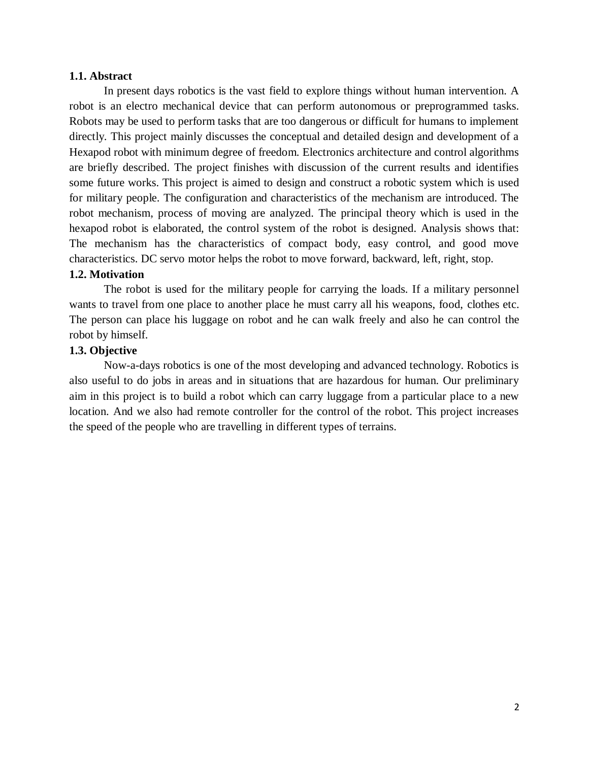#### **1.1. Abstract**

In present days robotics is the vast field to explore things without human intervention. A robot is an electro mechanical device that can perform autonomous or preprogrammed tasks. Robots may be used to perform tasks that are too dangerous or difficult for humans to implement directly. This project mainly discusses the conceptual and detailed design and development of a Hexapod robot with minimum degree of freedom. Electronics architecture and control algorithms are briefly described. The project finishes with discussion of the current results and identifies some future works. This project is aimed to design and construct a robotic system which is used for military people. The configuration and characteristics of the mechanism are introduced. The robot mechanism, process of moving are analyzed. The principal theory which is used in the hexapod robot is elaborated, the control system of the robot is designed. Analysis shows that: The mechanism has the characteristics of compact body, easy control, and good move characteristics. DC servo motor helps the robot to move forward, backward, left, right, stop.

#### **1.2. Motivation**

The robot is used for the military people for carrying the loads. If a military personnel wants to travel from one place to another place he must carry all his weapons, food, clothes etc. The person can place his luggage on robot and he can walk freely and also he can control the robot by himself.

#### **1.3. Objective**

Now-a-days robotics is one of the most developing and advanced technology. Robotics is also useful to do jobs in areas and in situations that are hazardous for human. Our preliminary aim in this project is to build a robot which can carry luggage from a particular place to a new location. And we also had remote controller for the control of the robot. This project increases the speed of the people who are travelling in different types of terrains.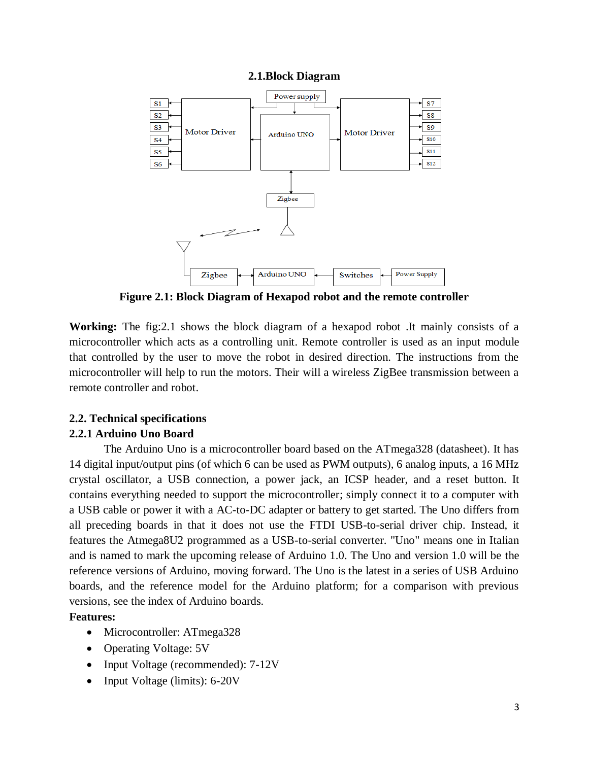#### **2.1.Block Diagram**



**Figure 2.1: Block Diagram of Hexapod robot and the remote controller**

**Working:** The fig:2.1 shows the block diagram of a hexapod robot .It mainly consists of a microcontroller which acts as a controlling unit. Remote controller is used as an input module that controlled by the user to move the robot in desired direction. The instructions from the microcontroller will help to run the motors. Their will a wireless ZigBee transmission between a remote controller and robot.

## **2.2. Technical specifications**

#### **2.2.1 Arduino Uno Board**

The Arduino Uno is a microcontroller board based on the ATmega328 (datasheet). It has 14 digital input/output pins (of which 6 can be used as PWM outputs), 6 analog inputs, a 16 MHz crystal oscillator, a USB connection, a power jack, an ICSP header, and a reset button. It contains everything needed to support the microcontroller; simply connect it to a computer with a USB cable or power it with a AC-to-DC adapter or battery to get started. The Uno differs from all preceding boards in that it does not use the FTDI USB-to-serial driver chip. Instead, it features the Atmega8U2 programmed as a USB-to-serial converter. "Uno" means one in Italian and is named to mark the upcoming release of Arduino 1.0. The Uno and version 1.0 will be the reference versions of Arduino, moving forward. The Uno is the latest in a series of USB Arduino boards, and the reference model for the Arduino platform; for a comparison with previous versions, see the index of Arduino boards.

#### **Features:**

- Microcontroller: ATmega328
- Operating Voltage: 5V
- Input Voltage (recommended): 7-12V
- Input Voltage (limits): 6-20V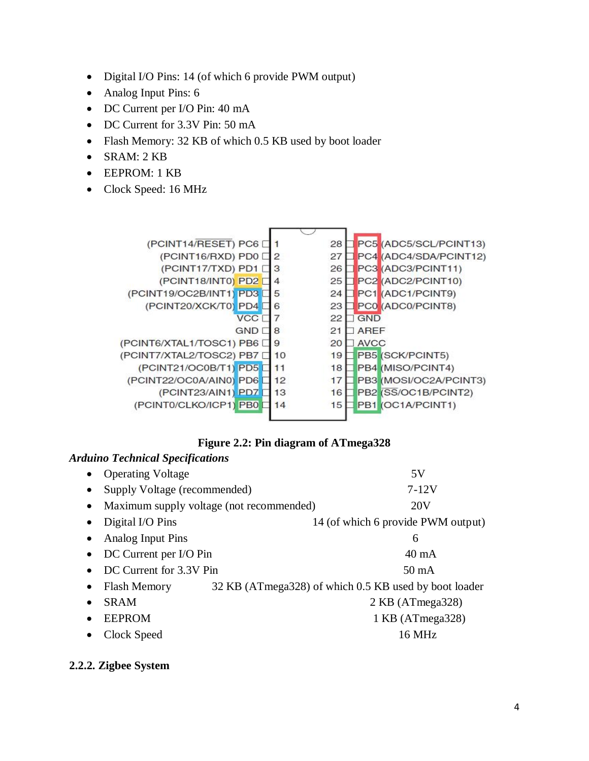- Digital I/O Pins: 14 (of which 6 provide PWM output)
- Analog Input Pins: 6
- DC Current per I/O Pin: 40 mA
- DC Current for 3.3V Pin: 50 mA
- Flash Memory: 32 KB of which 0.5 KB used by boot loader
- SRAM: 2 KB
- EEPROM: 1 KB
- Clock Speed: 16 MHz



| <b>Arduino Technical Specifications</b>               |  |                                                       |
|-------------------------------------------------------|--|-------------------------------------------------------|
| <b>Operating Voltage</b><br>$\bullet$                 |  | 5V                                                    |
| Supply Voltage (recommended)<br>$\bullet$             |  | 7-12V                                                 |
| Maximum supply voltage (not recommended)<br>$\bullet$ |  | 20V                                                   |
| Digital I/O Pins<br>$\bullet$                         |  | 14 (of which 6 provide PWM output)                    |
| Analog Input Pins<br>$\bullet$                        |  | 6                                                     |
| DC Current per I/O Pin<br>$\bullet$                   |  | $40 \text{ mA}$                                       |
| DC Current for 3.3V Pin<br>$\bullet$                  |  | $50 \text{ mA}$                                       |
| <b>Flash Memory</b><br>٠                              |  | 32 KB (ATmega328) of which 0.5 KB used by boot loader |
| <b>SRAM</b><br>٠                                      |  | $2$ KB (ATmega $328$ )                                |
| <b>EEPROM</b><br>$\bullet$                            |  | 1 KB (ATmega328)                                      |
| Clock Speed                                           |  | 16 MHz                                                |

#### **2.2.2. Zigbee System**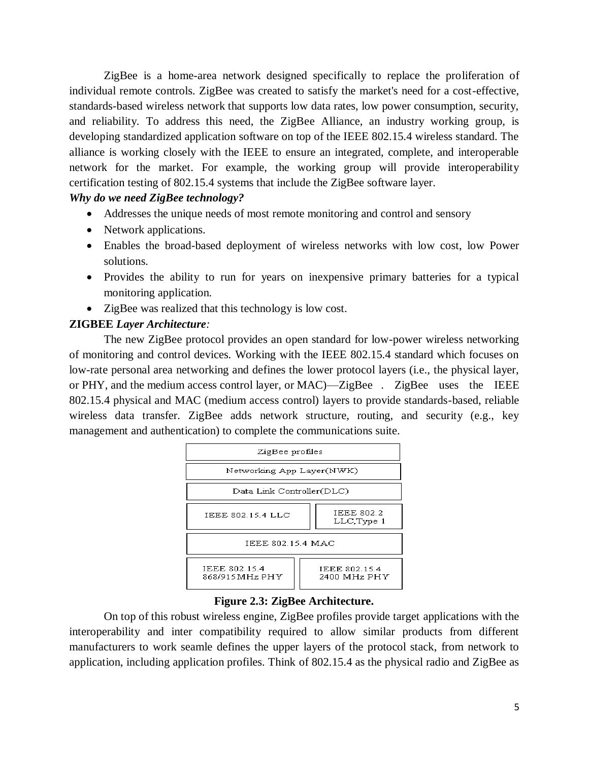ZigBee is a home-area network designed specifically to replace the proliferation of individual remote controls. ZigBee was created to satisfy the market's need for a cost-effective, standards-based wireless network that supports low data rates, low power consumption, security, and reliability. To address this need, the ZigBee Alliance, an industry working group, is developing standardized application software on top of the IEEE 802.15.4 wireless standard. The alliance is working closely with the IEEE to ensure an integrated, complete, and interoperable network for the market. For example, the working group will provide interoperability certification testing of 802.15.4 systems that include the ZigBee software layer.

## *Why do we need ZigBee technology?*

- Addresses the unique needs of most remote monitoring and control and sensory
- Network applications.
- Enables the broad-based deployment of wireless networks with low cost, low Power solutions.
- Provides the ability to run for years on inexpensive primary batteries for a typical monitoring application.
- ZigBee was realized that this technology is low cost.

## **ZIGBEE** *Layer Architecture:*

The new ZigBee protocol provides an open standard for low-power wireless networking of monitoring and control devices. Working with the IEEE 802.15.4 standard which focuses on low-rate personal area networking and defines the lower protocol layers (i.e., the physical layer, or PHY, and the medium access control layer, or MAC)—ZigBee . ZigBee uses the IEEE 802.15.4 physical and MAC (medium access control) layers to provide standards-based, reliable wireless data transfer. ZigBee adds network structure, routing, and security (e.g., key management and authentication) to complete the communications suite.



#### **Figure 2.3: ZigBee Architecture.**

On top of this robust wireless engine, ZigBee profiles provide target applications with the interoperability and inter compatibility required to allow similar products from different manufacturers to work seamle defines the upper layers of the protocol stack, from network to application, including application profiles. Think of 802.15.4 as the physical radio and ZigBee as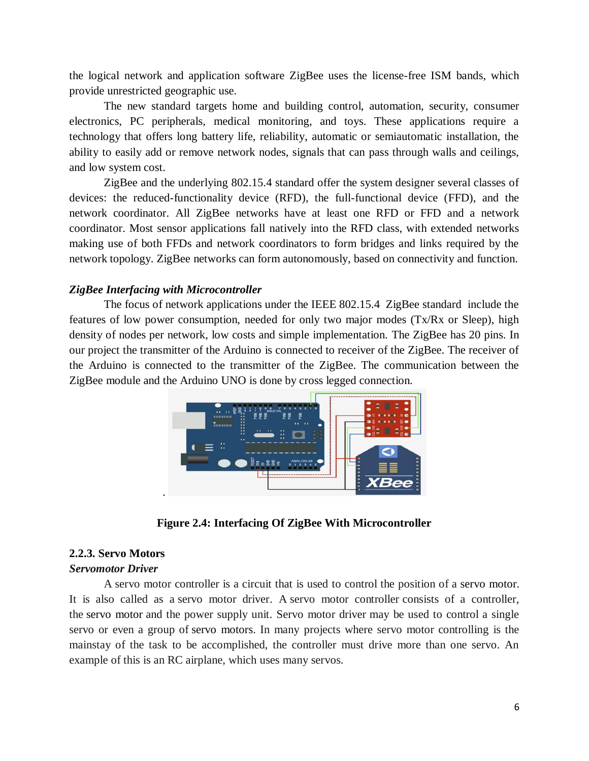the logical network and application software ZigBee uses the license-free ISM bands, which provide unrestricted geographic use.

The new standard targets home and building control, automation, security, consumer electronics, PC peripherals, medical monitoring, and toys. These applications require a technology that offers long battery life, reliability, automatic or semiautomatic installation, the ability to easily add or remove network nodes, signals that can pass through walls and ceilings, and low system cost.

ZigBee and the underlying 802.15.4 standard offer the system designer several classes of devices: the reduced-functionality device (RFD), the full-functional device (FFD), and the network coordinator. All ZigBee networks have at least one RFD or FFD and a network coordinator. Most sensor applications fall natively into the RFD class, with extended networks making use of both FFDs and network coordinators to form bridges and links required by the network topology. ZigBee networks can form autonomously, based on connectivity and function.

#### *ZigBee Interfacing with Microcontroller*

The focus of network applications under the IEEE 802.15.4 ZigBee standard include the features of low power consumption, needed for only two major modes (Tx/Rx or Sleep), high density of nodes per network, low costs and simple implementation. The ZigBee has 20 pins. In our project the transmitter of the Arduino is connected to receiver of the ZigBee. The receiver of the Arduino is connected to the transmitter of the ZigBee. The communication between the ZigBee module and the Arduino UNO is done by cross legged connection.



**Figure 2.4: Interfacing Of ZigBee With Microcontroller**

#### **2.2.3. Servo Motors**

#### *Servomotor Driver*

A servo motor controller is a circuit that is used to control the position of a servo motor. It is also called as a servo motor driver. A servo motor controller consists of a controller, the servo motor and the power supply unit. Servo motor driver may be used to control a single servo or even a group of servo motors. In many projects where servo motor controlling is the mainstay of the task to be accomplished, the controller must drive more than one servo. An example of this is an RC airplane, which uses many servos.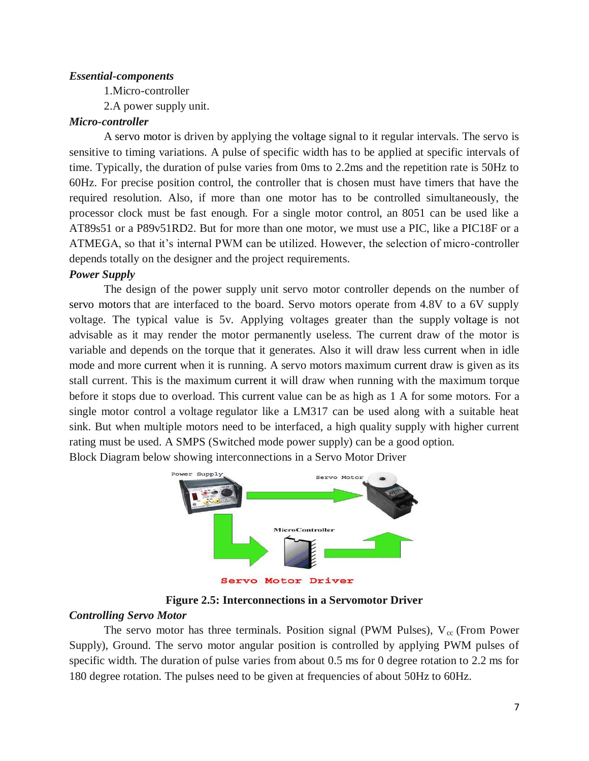#### *Essential-components*

1.Micro-controller

2.A power supply unit.

#### *Micro-controller*

A servo motor is driven by applying the voltage signal to it regular intervals. The servo is sensitive to timing variations. A pulse of specific width has to be applied at specific intervals of time. Typically, the duration of pulse varies from 0ms to 2.2ms and the repetition rate is 50Hz to 60Hz. For precise position control, the controller that is chosen must have timers that have the required resolution. Also, if more than one motor has to be controlled simultaneously, the processor clock must be fast enough. For a single motor control, an 8051 can be used like a AT89s51 or a P89v51RD2. But for more than one motor, we must use a PIC, like a PIC18F or a ATMEGA, so that it's internal PWM can be utilized. However, the selection of micro-controller depends totally on the designer and the project requirements.

#### *Power Supply*

The design of the power supply unit servo motor controller depends on the number of servo motors that are interfaced to the board. Servo motors operate from 4.8V to a 6V supply voltage. The typical value is 5v. Applying voltages greater than the supply voltage is not advisable as it may render the motor permanently useless. The current draw of the motor is variable and depends on the torque that it generates. Also it will draw less current when in idle mode and more current when it is running. A servo motors maximum current draw is given as its stall current. This is the maximum current it will draw when running with the maximum torque before it stops due to overload. This current value can be as high as 1 A for some motors. For a single motor control a voltage regulator like a LM317 can be used along with a suitable heat sink. But when multiple motors need to be interfaced, a high quality supply with higher current rating must be used. A SMPS (Switched mode power supply) can be a good option.

Block Diagram below showing interconnections in a Servo Motor Driver



**Figure 2.5: Interconnections in a Servomotor Driver**

#### *Controlling Servo Motor*

The servo motor has three terminals. Position signal (PWM Pulses),  $V_{cc}$  (From Power Supply), Ground. The servo motor angular position is controlled by applying PWM pulses of specific width. The duration of pulse varies from about 0.5 ms for 0 degree rotation to 2.2 ms for 180 degree rotation. The pulses need to be given at frequencies of about 50Hz to 60Hz.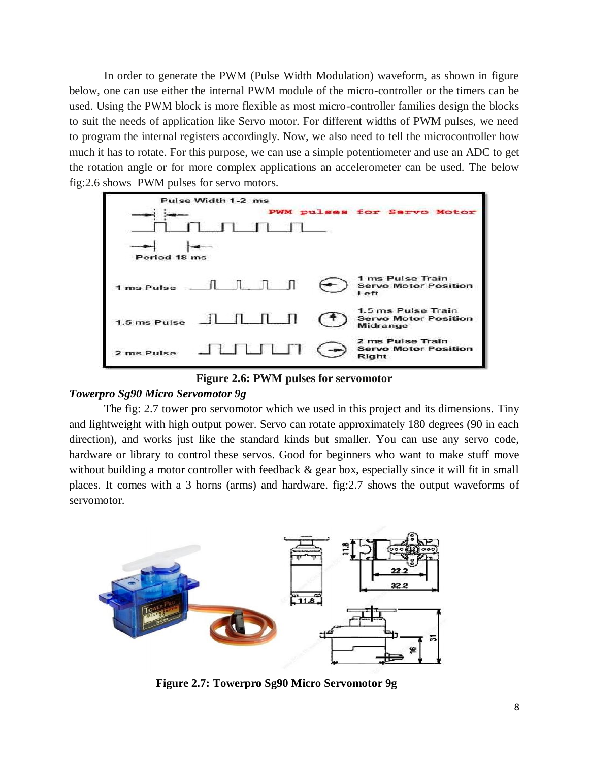In order to generate the PWM (Pulse Width Modulation) waveform, as shown in figure below, one can use either the internal PWM module of the micro-controller or the timers can be used. Using the PWM block is more flexible as most micro-controller families design the blocks to suit the needs of application like Servo motor. For different widths of PWM pulses, we need to program the internal registers accordingly. Now, we also need to tell the microcontroller how much it has to rotate. For this purpose, we can use a simple potentiometer and use an ADC to get the rotation angle or for more complex applications an accelerometer can be used. The below fig:2.6 shows PWM pulses for servo motors.



**Figure 2.6: PWM pulses for servomotor**

## *Towerpro Sg90 Micro Servomotor 9g*

The fig: 2.7 tower pro servomotor which we used in this project and its dimensions. Tiny and lightweight with high output power. Servo can rotate approximately 180 degrees (90 in each direction), and works just like the standard kinds but smaller. You can use any servo code, hardware or library to control these servos. Good for beginners who want to make stuff move without building a motor controller with feedback  $\&$  gear box, especially since it will fit in small places. It comes with a 3 horns (arms) and hardware. fig:2.7 shows the output waveforms of servomotor.



 **Figure 2.7: Towerpro Sg90 Micro Servomotor 9g**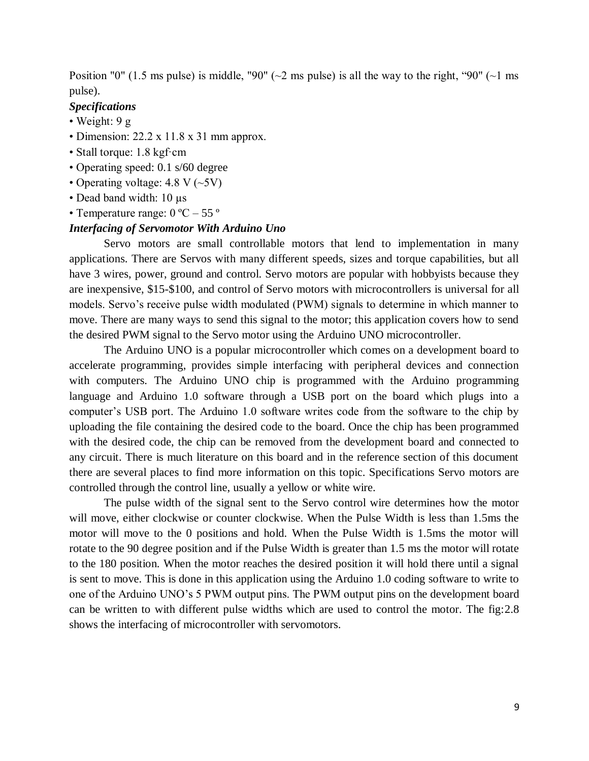Position "0" (1.5 ms pulse) is middle, "90" ( $\sim$ 2 ms pulse) is all the way to the right, "90" ( $\sim$ 1 ms pulse).

#### *Specifications*

- Weight: 9 g
- Dimension: 22.2 x 11.8 x 31 mm approx.
- Stall torque: 1.8 kgf·cm
- Operating speed: 0.1 s/60 degree
- Operating voltage:  $4.8 \text{ V} (-5 \text{V})$
- Dead band width: 10 µs
- Temperature range:  $0^{\circ}$ C 55 $^{\circ}$

#### *Interfacing of Servomotor With Arduino Uno*

Servo motors are small controllable motors that lend to implementation in many applications. There are Servos with many different speeds, sizes and torque capabilities, but all have 3 wires, power, ground and control. Servo motors are popular with hobbyists because they are inexpensive, \$15-\$100, and control of Servo motors with microcontrollers is universal for all models. Servo's receive pulse width modulated (PWM) signals to determine in which manner to move. There are many ways to send this signal to the motor; this application covers how to send the desired PWM signal to the Servo motor using the Arduino UNO microcontroller.

The Arduino UNO is a popular microcontroller which comes on a development board to accelerate programming, provides simple interfacing with peripheral devices and connection with computers. The Arduino UNO chip is programmed with the Arduino programming language and Arduino 1.0 software through a USB port on the board which plugs into a computer's USB port. The Arduino 1.0 software writes code from the software to the chip by uploading the file containing the desired code to the board. Once the chip has been programmed with the desired code, the chip can be removed from the development board and connected to any circuit. There is much literature on this board and in the reference section of this document there are several places to find more information on this topic. Specifications Servo motors are controlled through the control line, usually a yellow or white wire.

The pulse width of the signal sent to the Servo control wire determines how the motor will move, either clockwise or counter clockwise. When the Pulse Width is less than 1.5ms the motor will move to the 0 positions and hold. When the Pulse Width is 1.5ms the motor will rotate to the 90 degree position and if the Pulse Width is greater than 1.5 ms the motor will rotate to the 180 position. When the motor reaches the desired position it will hold there until a signal is sent to move. This is done in this application using the Arduino 1.0 coding software to write to one of the Arduino UNO's 5 PWM output pins. The PWM output pins on the development board can be written to with different pulse widths which are used to control the motor. The fig:2.8 shows the interfacing of microcontroller with servomotors.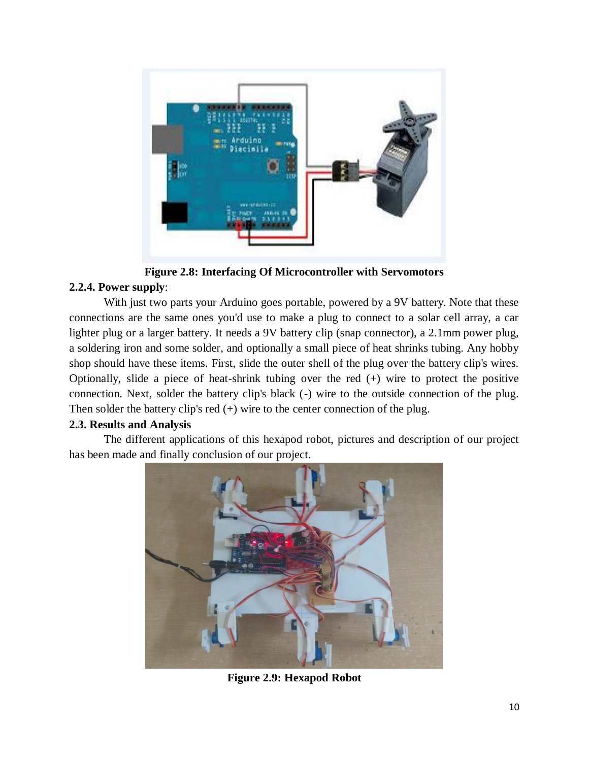

**Figure 2.8: Interfacing Of Microcontroller with Servomotors**

# **2.2.4. Power supply**:

With just two parts your Arduino goes portable, powered by a 9V battery. Note that these connections are the same ones you'd use to make a plug to connect to a solar cell array, a car lighter plug or a larger battery. It needs a 9V battery clip (snap connector), a 2.1mm power plug, a soldering iron and some solder, and optionally a small piece of heat shrinks tubing. Any hobby shop should have these items. First, slide the outer shell of the plug over the battery clip's wires. Optionally, slide a piece of heat-shrink tubing over the red (+) wire to protect the positive connection. Next, solder the battery clip's black (-) wire to the outside connection of the plug. Then solder the battery clip's red  $(+)$  wire to the center connection of the plug.

## **2.3. Results and Analysis**

The different applications of this hexapod robot, pictures and description of our project has been made and finally conclusion of our project.



**Figure 2.9: Hexapod Robot**